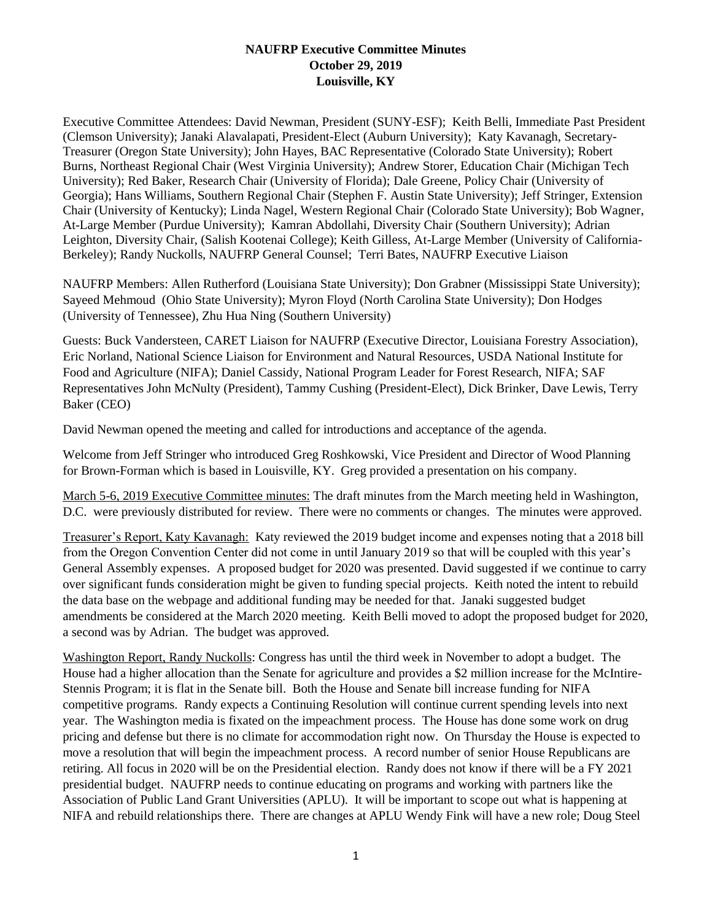## **NAUFRP Executive Committee Minutes October 29, 2019 Louisville, KY**

Executive Committee Attendees: David Newman, President (SUNY-ESF); Keith Belli, Immediate Past President (Clemson University); Janaki Alavalapati, President-Elect (Auburn University); Katy Kavanagh, Secretary-Treasurer (Oregon State University); John Hayes, BAC Representative (Colorado State University); Robert Burns, Northeast Regional Chair (West Virginia University); Andrew Storer, Education Chair (Michigan Tech University); Red Baker, Research Chair (University of Florida); Dale Greene, Policy Chair (University of Georgia); Hans Williams, Southern Regional Chair (Stephen F. Austin State University); Jeff Stringer, Extension Chair (University of Kentucky); Linda Nagel, Western Regional Chair (Colorado State University); Bob Wagner, At-Large Member (Purdue University); Kamran Abdollahi, Diversity Chair (Southern University); Adrian Leighton, Diversity Chair, (Salish Kootenai College); Keith Gilless, At-Large Member (University of California-Berkeley); Randy Nuckolls, NAUFRP General Counsel; Terri Bates, NAUFRP Executive Liaison

NAUFRP Members: Allen Rutherford (Louisiana State University); Don Grabner (Mississippi State University); Sayeed Mehmoud (Ohio State University); Myron Floyd (North Carolina State University); Don Hodges (University of Tennessee), Zhu Hua Ning (Southern University)

Guests: Buck Vandersteen, CARET Liaison for NAUFRP (Executive Director, Louisiana Forestry Association), Eric Norland, National Science Liaison for Environment and Natural Resources, USDA National Institute for Food and Agriculture (NIFA); Daniel Cassidy, National Program Leader for Forest Research, NIFA; SAF Representatives John McNulty (President), Tammy Cushing (President-Elect), Dick Brinker, Dave Lewis, Terry Baker (CEO)

David Newman opened the meeting and called for introductions and acceptance of the agenda.

Welcome from Jeff Stringer who introduced Greg Roshkowski, Vice President and Director of Wood Planning for Brown-Forman which is based in Louisville, KY. Greg provided a presentation on his company.

March 5-6, 2019 Executive Committee minutes: The draft minutes from the March meeting held in Washington, D.C. were previously distributed for review. There were no comments or changes. The minutes were approved.

Treasurer's Report, Katy Kavanagh: Katy reviewed the 2019 budget income and expenses noting that a 2018 bill from the Oregon Convention Center did not come in until January 2019 so that will be coupled with this year's General Assembly expenses. A proposed budget for 2020 was presented. David suggested if we continue to carry over significant funds consideration might be given to funding special projects. Keith noted the intent to rebuild the data base on the webpage and additional funding may be needed for that. Janaki suggested budget amendments be considered at the March 2020 meeting. Keith Belli moved to adopt the proposed budget for 2020, a second was by Adrian. The budget was approved.

Washington Report, Randy Nuckolls: Congress has until the third week in November to adopt a budget. The House had a higher allocation than the Senate for agriculture and provides a \$2 million increase for the McIntire-Stennis Program; it is flat in the Senate bill. Both the House and Senate bill increase funding for NIFA competitive programs. Randy expects a Continuing Resolution will continue current spending levels into next year. The Washington media is fixated on the impeachment process. The House has done some work on drug pricing and defense but there is no climate for accommodation right now. On Thursday the House is expected to move a resolution that will begin the impeachment process. A record number of senior House Republicans are retiring. All focus in 2020 will be on the Presidential election. Randy does not know if there will be a FY 2021 presidential budget. NAUFRP needs to continue educating on programs and working with partners like the Association of Public Land Grant Universities (APLU). It will be important to scope out what is happening at NIFA and rebuild relationships there. There are changes at APLU Wendy Fink will have a new role; Doug Steel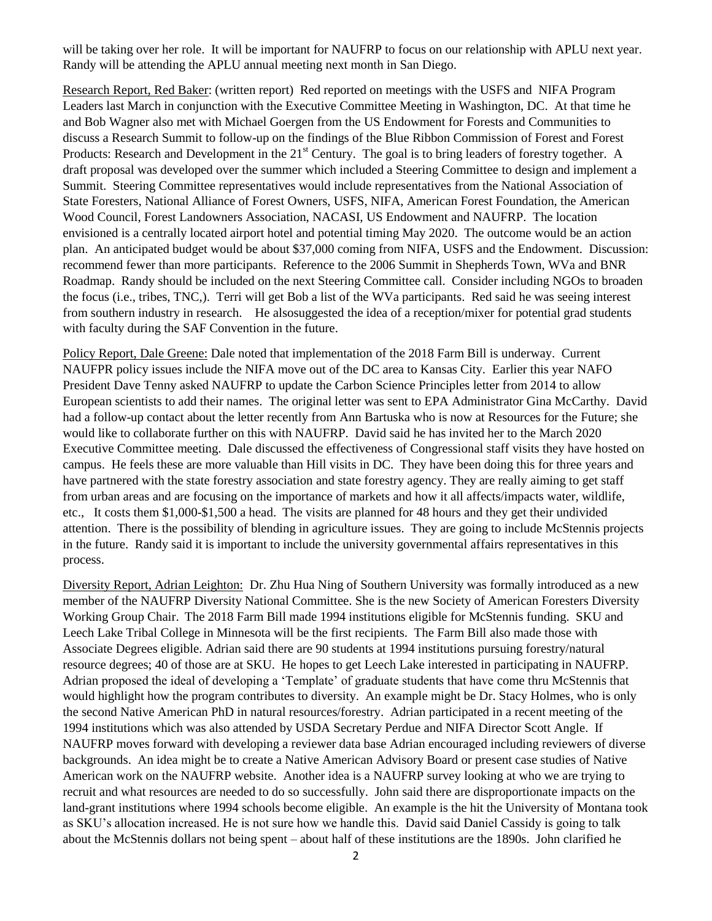will be taking over her role. It will be important for NAUFRP to focus on our relationship with APLU next year. Randy will be attending the APLU annual meeting next month in San Diego.

Research Report, Red Baker: (written report) Red reported on meetings with the USFS and NIFA Program Leaders last March in conjunction with the Executive Committee Meeting in Washington, DC. At that time he and Bob Wagner also met with Michael Goergen from the US Endowment for Forests and Communities to discuss a Research Summit to follow-up on the findings of the Blue Ribbon Commission of Forest and Forest Products: Research and Development in the 21<sup>st</sup> Century. The goal is to bring leaders of forestry together. A draft proposal was developed over the summer which included a Steering Committee to design and implement a Summit. Steering Committee representatives would include representatives from the National Association of State Foresters, National Alliance of Forest Owners, USFS, NIFA, American Forest Foundation, the American Wood Council, Forest Landowners Association, NACASI, US Endowment and NAUFRP. The location envisioned is a centrally located airport hotel and potential timing May 2020. The outcome would be an action plan. An anticipated budget would be about \$37,000 coming from NIFA, USFS and the Endowment. Discussion: recommend fewer than more participants. Reference to the 2006 Summit in Shepherds Town, WVa and BNR Roadmap. Randy should be included on the next Steering Committee call. Consider including NGOs to broaden the focus (i.e., tribes, TNC,). Terri will get Bob a list of the WVa participants. Red said he was seeing interest from southern industry in research. He alsosuggested the idea of a reception/mixer for potential grad students with faculty during the SAF Convention in the future.

Policy Report, Dale Greene: Dale noted that implementation of the 2018 Farm Bill is underway. Current NAUFPR policy issues include the NIFA move out of the DC area to Kansas City. Earlier this year NAFO President Dave Tenny asked NAUFRP to update the Carbon Science Principles letter from 2014 to allow European scientists to add their names. The original letter was sent to EPA Administrator Gina McCarthy. David had a follow-up contact about the letter recently from Ann Bartuska who is now at Resources for the Future; she would like to collaborate further on this with NAUFRP. David said he has invited her to the March 2020 Executive Committee meeting. Dale discussed the effectiveness of Congressional staff visits they have hosted on campus. He feels these are more valuable than Hill visits in DC. They have been doing this for three years and have partnered with the state forestry association and state forestry agency. They are really aiming to get staff from urban areas and are focusing on the importance of markets and how it all affects/impacts water, wildlife, etc., It costs them \$1,000-\$1,500 a head. The visits are planned for 48 hours and they get their undivided attention. There is the possibility of blending in agriculture issues. They are going to include McStennis projects in the future. Randy said it is important to include the university governmental affairs representatives in this process.

Diversity Report, Adrian Leighton: Dr. Zhu Hua Ning of Southern University was formally introduced as a new member of the NAUFRP Diversity National Committee. She is the new Society of American Foresters Diversity Working Group Chair. The 2018 Farm Bill made 1994 institutions eligible for McStennis funding. SKU and Leech Lake Tribal College in Minnesota will be the first recipients. The Farm Bill also made those with Associate Degrees eligible. Adrian said there are 90 students at 1994 institutions pursuing forestry/natural resource degrees; 40 of those are at SKU. He hopes to get Leech Lake interested in participating in NAUFRP. Adrian proposed the ideal of developing a 'Template' of graduate students that have come thru McStennis that would highlight how the program contributes to diversity. An example might be Dr. Stacy Holmes, who is only the second Native American PhD in natural resources/forestry. Adrian participated in a recent meeting of the 1994 institutions which was also attended by USDA Secretary Perdue and NIFA Director Scott Angle. If NAUFRP moves forward with developing a reviewer data base Adrian encouraged including reviewers of diverse backgrounds. An idea might be to create a Native American Advisory Board or present case studies of Native American work on the NAUFRP website. Another idea is a NAUFRP survey looking at who we are trying to recruit and what resources are needed to do so successfully. John said there are disproportionate impacts on the land-grant institutions where 1994 schools become eligible. An example is the hit the University of Montana took as SKU's allocation increased. He is not sure how we handle this. David said Daniel Cassidy is going to talk about the McStennis dollars not being spent – about half of these institutions are the 1890s. John clarified he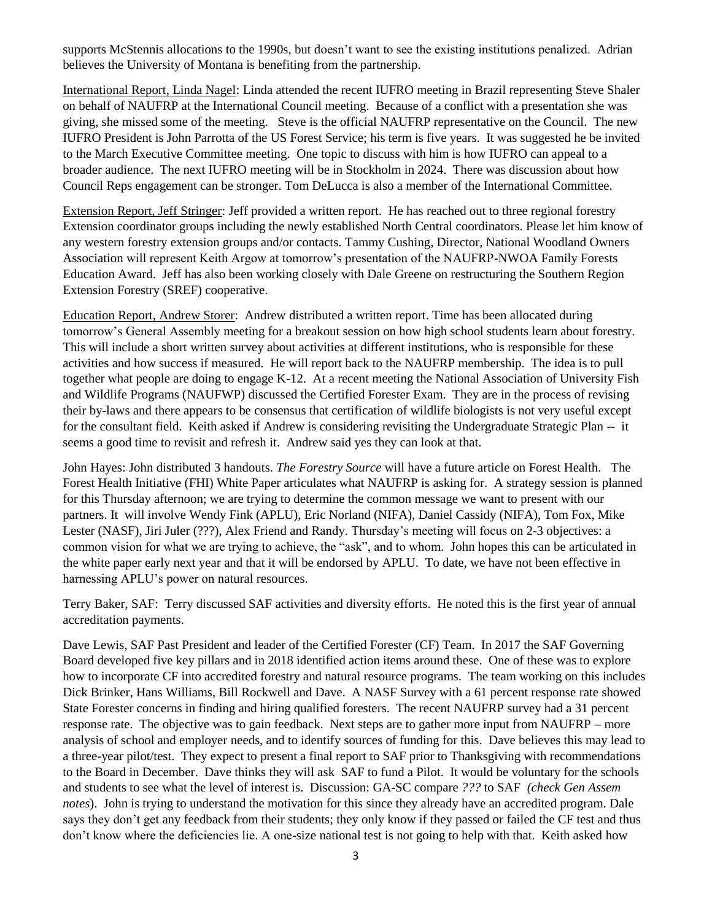supports McStennis allocations to the 1990s, but doesn't want to see the existing institutions penalized. Adrian believes the University of Montana is benefiting from the partnership.

International Report, Linda Nagel: Linda attended the recent IUFRO meeting in Brazil representing Steve Shaler on behalf of NAUFRP at the International Council meeting. Because of a conflict with a presentation she was giving, she missed some of the meeting. Steve is the official NAUFRP representative on the Council. The new IUFRO President is John Parrotta of the US Forest Service; his term is five years. It was suggested he be invited to the March Executive Committee meeting. One topic to discuss with him is how IUFRO can appeal to a broader audience. The next IUFRO meeting will be in Stockholm in 2024. There was discussion about how Council Reps engagement can be stronger. Tom DeLucca is also a member of the International Committee.

Extension Report, Jeff Stringer: Jeff provided a written report. He has reached out to three regional forestry Extension coordinator groups including the newly established North Central coordinators. Please let him know of any western forestry extension groups and/or contacts. Tammy Cushing, Director, National Woodland Owners Association will represent Keith Argow at tomorrow's presentation of the NAUFRP-NWOA Family Forests Education Award. Jeff has also been working closely with Dale Greene on restructuring the Southern Region Extension Forestry (SREF) cooperative.

Education Report, Andrew Storer: Andrew distributed a written report. Time has been allocated during tomorrow's General Assembly meeting for a breakout session on how high school students learn about forestry. This will include a short written survey about activities at different institutions, who is responsible for these activities and how success if measured. He will report back to the NAUFRP membership. The idea is to pull together what people are doing to engage K-12. At a recent meeting the National Association of University Fish and Wildlife Programs (NAUFWP) discussed the Certified Forester Exam. They are in the process of revising their by-laws and there appears to be consensus that certification of wildlife biologists is not very useful except for the consultant field. Keith asked if Andrew is considering revisiting the Undergraduate Strategic Plan -- it seems a good time to revisit and refresh it. Andrew said yes they can look at that.

John Hayes: John distributed 3 handouts. *The Forestry Source* will have a future article on Forest Health. The Forest Health Initiative (FHI) White Paper articulates what NAUFRP is asking for. A strategy session is planned for this Thursday afternoon; we are trying to determine the common message we want to present with our partners. It will involve Wendy Fink (APLU), Eric Norland (NIFA), Daniel Cassidy (NIFA), Tom Fox, Mike Lester (NASF), Jiri Juler (???), Alex Friend and Randy. Thursday's meeting will focus on 2-3 objectives: a common vision for what we are trying to achieve, the "ask", and to whom. John hopes this can be articulated in the white paper early next year and that it will be endorsed by APLU. To date, we have not been effective in harnessing APLU's power on natural resources.

Terry Baker, SAF: Terry discussed SAF activities and diversity efforts. He noted this is the first year of annual accreditation payments.

Dave Lewis, SAF Past President and leader of the Certified Forester (CF) Team. In 2017 the SAF Governing Board developed five key pillars and in 2018 identified action items around these. One of these was to explore how to incorporate CF into accredited forestry and natural resource programs. The team working on this includes Dick Brinker, Hans Williams, Bill Rockwell and Dave. A NASF Survey with a 61 percent response rate showed State Forester concerns in finding and hiring qualified foresters. The recent NAUFRP survey had a 31 percent response rate. The objective was to gain feedback. Next steps are to gather more input from NAUFRP – more analysis of school and employer needs, and to identify sources of funding for this. Dave believes this may lead to a three-year pilot/test. They expect to present a final report to SAF prior to Thanksgiving with recommendations to the Board in December. Dave thinks they will ask SAF to fund a Pilot. It would be voluntary for the schools and students to see what the level of interest is. Discussion: GA-SC compare *???* to SAF *(check Gen Assem notes*). John is trying to understand the motivation for this since they already have an accredited program. Dale says they don't get any feedback from their students; they only know if they passed or failed the CF test and thus don't know where the deficiencies lie. A one-size national test is not going to help with that. Keith asked how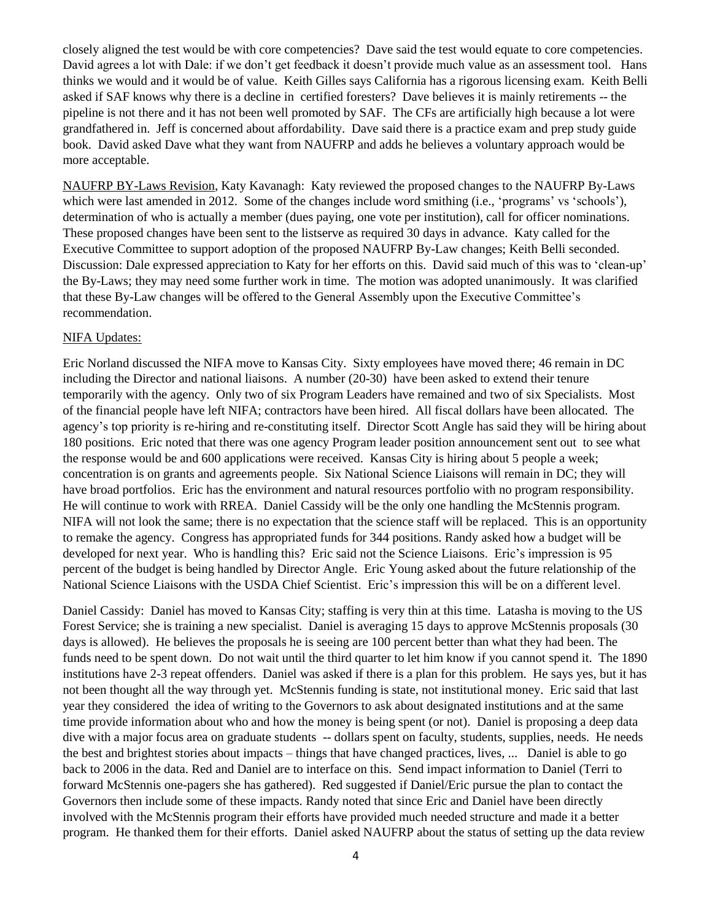closely aligned the test would be with core competencies? Dave said the test would equate to core competencies. David agrees a lot with Dale: if we don't get feedback it doesn't provide much value as an assessment tool. Hans thinks we would and it would be of value. Keith Gilles says California has a rigorous licensing exam. Keith Belli asked if SAF knows why there is a decline in certified foresters? Dave believes it is mainly retirements -- the pipeline is not there and it has not been well promoted by SAF. The CFs are artificially high because a lot were grandfathered in. Jeff is concerned about affordability. Dave said there is a practice exam and prep study guide book. David asked Dave what they want from NAUFRP and adds he believes a voluntary approach would be more acceptable.

NAUFRP BY-Laws Revision, Katy Kavanagh: Katy reviewed the proposed changes to the NAUFRP By-Laws which were last amended in 2012. Some of the changes include word smithing (i.e., 'programs' vs 'schools'), determination of who is actually a member (dues paying, one vote per institution), call for officer nominations. These proposed changes have been sent to the listserve as required 30 days in advance. Katy called for the Executive Committee to support adoption of the proposed NAUFRP By-Law changes; Keith Belli seconded. Discussion: Dale expressed appreciation to Katy for her efforts on this. David said much of this was to 'clean-up' the By-Laws; they may need some further work in time. The motion was adopted unanimously. It was clarified that these By-Law changes will be offered to the General Assembly upon the Executive Committee's recommendation.

## NIFA Updates:

Eric Norland discussed the NIFA move to Kansas City. Sixty employees have moved there; 46 remain in DC including the Director and national liaisons. A number (20-30) have been asked to extend their tenure temporarily with the agency. Only two of six Program Leaders have remained and two of six Specialists. Most of the financial people have left NIFA; contractors have been hired. All fiscal dollars have been allocated. The agency's top priority is re-hiring and re-constituting itself. Director Scott Angle has said they will be hiring about 180 positions. Eric noted that there was one agency Program leader position announcement sent out to see what the response would be and 600 applications were received. Kansas City is hiring about 5 people a week; concentration is on grants and agreements people. Six National Science Liaisons will remain in DC; they will have broad portfolios. Eric has the environment and natural resources portfolio with no program responsibility. He will continue to work with RREA. Daniel Cassidy will be the only one handling the McStennis program. NIFA will not look the same; there is no expectation that the science staff will be replaced. This is an opportunity to remake the agency. Congress has appropriated funds for 344 positions. Randy asked how a budget will be developed for next year. Who is handling this? Eric said not the Science Liaisons. Eric's impression is 95 percent of the budget is being handled by Director Angle. Eric Young asked about the future relationship of the National Science Liaisons with the USDA Chief Scientist. Eric's impression this will be on a different level.

Daniel Cassidy: Daniel has moved to Kansas City; staffing is very thin at this time. Latasha is moving to the US Forest Service; she is training a new specialist. Daniel is averaging 15 days to approve McStennis proposals (30 days is allowed). He believes the proposals he is seeing are 100 percent better than what they had been. The funds need to be spent down. Do not wait until the third quarter to let him know if you cannot spend it. The 1890 institutions have 2-3 repeat offenders. Daniel was asked if there is a plan for this problem. He says yes, but it has not been thought all the way through yet. McStennis funding is state, not institutional money. Eric said that last year they considered the idea of writing to the Governors to ask about designated institutions and at the same time provide information about who and how the money is being spent (or not). Daniel is proposing a deep data dive with a major focus area on graduate students -- dollars spent on faculty, students, supplies, needs. He needs the best and brightest stories about impacts – things that have changed practices, lives, ... Daniel is able to go back to 2006 in the data. Red and Daniel are to interface on this. Send impact information to Daniel (Terri to forward McStennis one-pagers she has gathered). Red suggested if Daniel/Eric pursue the plan to contact the Governors then include some of these impacts. Randy noted that since Eric and Daniel have been directly involved with the McStennis program their efforts have provided much needed structure and made it a better program. He thanked them for their efforts. Daniel asked NAUFRP about the status of setting up the data review